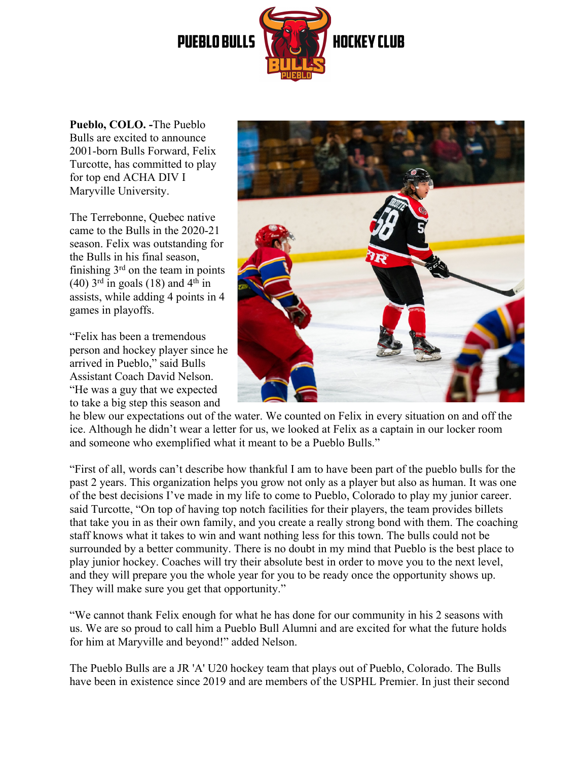

**Pueblo, COLO. -**The Pueblo Bulls are excited to announce 2001-born Bulls Forward, Felix Turcotte, has committed to play for top end ACHA DIV I Maryville University.

The Terrebonne, Quebec native came to the Bulls in the 2020-21 season. Felix was outstanding for the Bulls in his final season, finishing  $3<sup>rd</sup>$  on the team in points (40)  $3<sup>rd</sup>$  in goals (18) and  $4<sup>th</sup>$  in assists, while adding 4 points in 4 games in playoffs.

"Felix has been a tremendous person and hockey player since he arrived in Pueblo," said Bulls Assistant Coach David Nelson. "He was a guy that we expected to take a big step this season and



he blew our expectations out of the water. We counted on Felix in every situation on and off the ice. Although he didn't wear a letter for us, we looked at Felix as a captain in our locker room and someone who exemplified what it meant to be a Pueblo Bulls."

"First of all, words can't describe how thankful I am to have been part of the pueblo bulls for the past 2 years. This organization helps you grow not only as a player but also as human. It was one of the best decisions I've made in my life to come to Pueblo, Colorado to play my junior career. said Turcotte, "On top of having top notch facilities for their players, the team provides billets that take you in as their own family, and you create a really strong bond with them. The coaching staff knows what it takes to win and want nothing less for this town. The bulls could not be surrounded by a better community. There is no doubt in my mind that Pueblo is the best place to play junior hockey. Coaches will try their absolute best in order to move you to the next level, and they will prepare you the whole year for you to be ready once the opportunity shows up. They will make sure you get that opportunity."

"We cannot thank Felix enough for what he has done for our community in his 2 seasons with us. We are so proud to call him a Pueblo Bull Alumni and are excited for what the future holds for him at Maryville and beyond!" added Nelson.

The Pueblo Bulls are a JR 'A' U20 hockey team that plays out of Pueblo, Colorado. The Bulls have been in existence since 2019 and are members of the USPHL Premier. In just their second